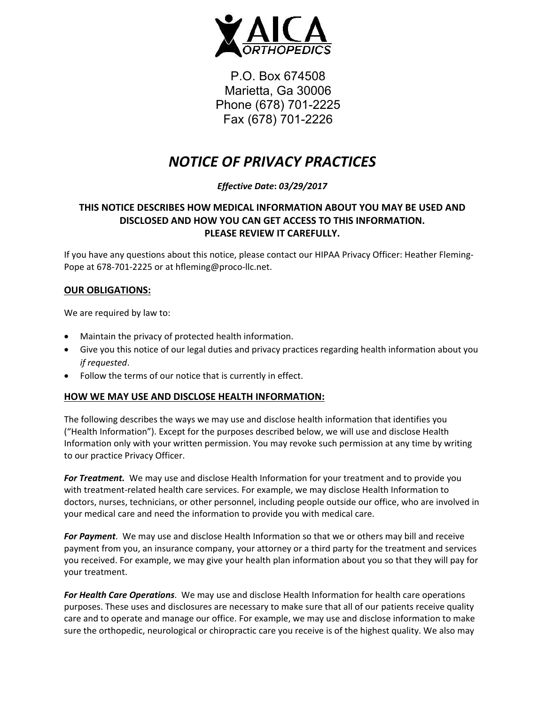

P.O. Box 674508 Marietta, Ga 30006 Phone (678) 701-2225 Fax (678) 701-2226

# *NOTICE OF PRIVACY PRACTICES*

# *Effective Date***:** *03/29/2017*

# **THIS NOTICE DESCRIBES HOW MEDICAL INFORMATION ABOUT YOU MAY BE USED AND DISCLOSED AND HOW YOU CAN GET ACCESS TO THIS INFORMATION. PLEASE REVIEW IT CAREFULLY.**

If you have any questions about this notice, please contact our HIPAA Privacy Officer: Heather Fleming‐ Pope at 678‐701‐2225 or at hfleming@proco‐llc.net.

## **OUR OBLIGATIONS:**

We are required by law to:

- Maintain the privacy of protected health information.
- Give you this notice of our legal duties and privacy practices regarding health information about you *if requested*.
- Follow the terms of our notice that is currently in effect.

#### **HOW WE MAY USE AND DISCLOSE HEALTH INFORMATION:**

The following describes the ways we may use and disclose health information that identifies you ("Health Information"). Except for the purposes described below, we will use and disclose Health Information only with your written permission. You may revoke such permission at any time by writing to our practice Privacy Officer.

*For Treatment.* We may use and disclose Health Information for your treatment and to provide you with treatment-related health care services. For example, we may disclose Health Information to doctors, nurses, technicians, or other personnel, including people outside our office, who are involved in your medical care and need the information to provide you with medical care.

*For Payment*. We may use and disclose Health Information so that we or others may bill and receive payment from you, an insurance company, your attorney or a third party for the treatment and services you received. For example, we may give your health plan information about you so that they will pay for your treatment.

*For Health Care Operations*. We may use and disclose Health Information for health care operations purposes. These uses and disclosures are necessary to make sure that all of our patients receive quality care and to operate and manage our office. For example, we may use and disclose information to make sure the orthopedic, neurological or chiropractic care you receive is of the highest quality. We also may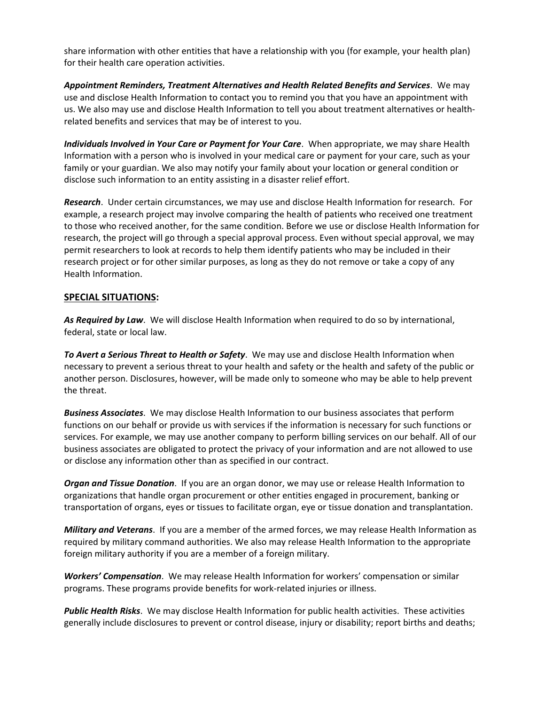share information with other entities that have a relationship with you (for example, your health plan) for their health care operation activities.

*Appointment Reminders, Treatment Alternatives and Health Related Benefits and Services*. We may use and disclose Health Information to contact you to remind you that you have an appointment with us. We also may use and disclose Health Information to tell you about treatment alternatives or health‐ related benefits and services that may be of interest to you.

*Individuals Involved in Your Care or Payment for Your Care*. When appropriate, we may share Health Information with a person who is involved in your medical care or payment for your care, such as your family or your guardian. We also may notify your family about your location or general condition or disclose such information to an entity assisting in a disaster relief effort.

*Research*. Under certain circumstances, we may use and disclose Health Information for research. For example, a research project may involve comparing the health of patients who received one treatment to those who received another, for the same condition. Before we use or disclose Health Information for research, the project will go through a special approval process. Even without special approval, we may permit researchers to look at records to help them identify patients who may be included in their research project or for other similar purposes, as long as they do not remove or take a copy of any Health Information.

## **SPECIAL SITUATIONS:**

*As Required by Law*. We will disclose Health Information when required to do so by international, federal, state or local law.

*To Avert a Serious Threat to Health or Safety*. We may use and disclose Health Information when necessary to prevent a serious threat to your health and safety or the health and safety of the public or another person. Disclosures, however, will be made only to someone who may be able to help prevent the threat.

*Business Associates*. We may disclose Health Information to our business associates that perform functions on our behalf or provide us with services if the information is necessary for such functions or services. For example, we may use another company to perform billing services on our behalf. All of our business associates are obligated to protect the privacy of your information and are not allowed to use or disclose any information other than as specified in our contract.

*Organ and Tissue Donation*. If you are an organ donor, we may use or release Health Information to organizations that handle organ procurement or other entities engaged in procurement, banking or transportation of organs, eyes or tissues to facilitate organ, eye or tissue donation and transplantation.

*Military and Veterans*. If you are a member of the armed forces, we may release Health Information as required by military command authorities. We also may release Health Information to the appropriate foreign military authority if you are a member of a foreign military.

*Workers' Compensation*. We may release Health Information for workers' compensation or similar programs. These programs provide benefits for work‐related injuries or illness.

*Public Health Risks*. We may disclose Health Information for public health activities. These activities generally include disclosures to prevent or control disease, injury or disability; report births and deaths;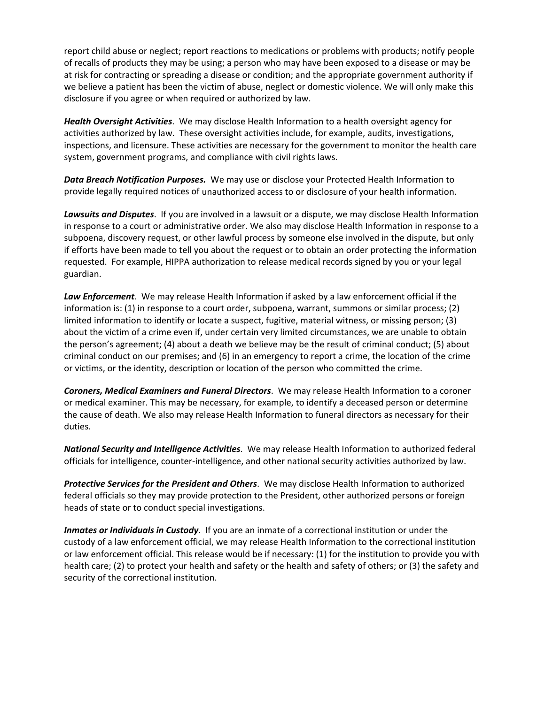report child abuse or neglect; report reactions to medications or problems with products; notify people of recalls of products they may be using; a person who may have been exposed to a disease or may be at risk for contracting or spreading a disease or condition; and the appropriate government authority if we believe a patient has been the victim of abuse, neglect or domestic violence. We will only make this disclosure if you agree or when required or authorized by law.

*Health Oversight Activities*. We may disclose Health Information to a health oversight agency for activities authorized by law. These oversight activities include, for example, audits, investigations, inspections, and licensure. These activities are necessary for the government to monitor the health care system, government programs, and compliance with civil rights laws.

*Data Breach Notification Purposes.* We may use or disclose your Protected Health Information to provide legally required notices of unauthorized access to or disclosure of your health information.

*Lawsuits and Disputes*. If you are involved in a lawsuit or a dispute, we may disclose Health Information in response to a court or administrative order. We also may disclose Health Information in response to a subpoena, discovery request, or other lawful process by someone else involved in the dispute, but only if efforts have been made to tell you about the request or to obtain an order protecting the information requested. For example, HIPPA authorization to release medical records signed by you or your legal guardian.

*Law Enforcement*. We may release Health Information if asked by a law enforcement official if the information is: (1) in response to a court order, subpoena, warrant, summons or similar process; (2) limited information to identify or locate a suspect, fugitive, material witness, or missing person; (3) about the victim of a crime even if, under certain very limited circumstances, we are unable to obtain the person's agreement; (4) about a death we believe may be the result of criminal conduct; (5) about criminal conduct on our premises; and (6) in an emergency to report a crime, the location of the crime or victims, or the identity, description or location of the person who committed the crime.

*Coroners, Medical Examiners and Funeral Directors*. We may release Health Information to a coroner or medical examiner. This may be necessary, for example, to identify a deceased person or determine the cause of death. We also may release Health Information to funeral directors as necessary for their duties.

*National Security and Intelligence Activities*. We may release Health Information to authorized federal officials for intelligence, counter‐intelligence, and other national security activities authorized by law.

*Protective Services for the President and Others*. We may disclose Health Information to authorized federal officials so they may provide protection to the President, other authorized persons or foreign heads of state or to conduct special investigations.

*Inmates or Individuals in Custody*. If you are an inmate of a correctional institution or under the custody of a law enforcement official, we may release Health Information to the correctional institution or law enforcement official. This release would be if necessary: (1) for the institution to provide you with health care; (2) to protect your health and safety or the health and safety of others; or (3) the safety and security of the correctional institution.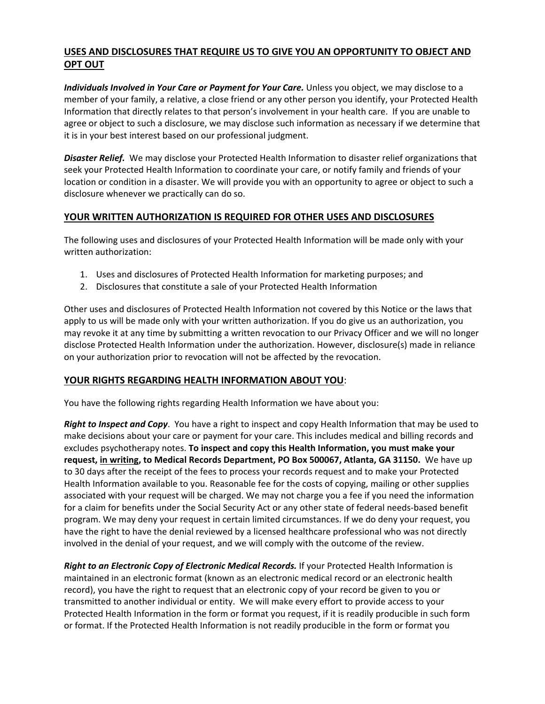# **USES AND DISCLOSURES THAT REQUIRE US TO GIVE YOU AN OPPORTUNITY TO OBJECT AND OPT OUT**

*Individuals Involved in Your Care or Payment for Your Care.* Unless you object, we may disclose to a member of your family, a relative, a close friend or any other person you identify, your Protected Health Information that directly relates to that person's involvement in your health care. If you are unable to agree or object to such a disclosure, we may disclose such information as necessary if we determine that it is in your best interest based on our professional judgment.

*Disaster Relief.* We may disclose your Protected Health Information to disaster relief organizations that seek your Protected Health Information to coordinate your care, or notify family and friends of your location or condition in a disaster. We will provide you with an opportunity to agree or object to such a disclosure whenever we practically can do so.

# **YOUR WRITTEN AUTHORIZATION IS REQUIRED FOR OTHER USES AND DISCLOSURES**

The following uses and disclosures of your Protected Health Information will be made only with your written authorization:

- 1. Uses and disclosures of Protected Health Information for marketing purposes; and
- 2. Disclosures that constitute a sale of your Protected Health Information

Other uses and disclosures of Protected Health Information not covered by this Notice or the laws that apply to us will be made only with your written authorization. If you do give us an authorization, you may revoke it at any time by submitting a written revocation to our Privacy Officer and we will no longer disclose Protected Health Information under the authorization. However, disclosure(s) made in reliance on your authorization prior to revocation will not be affected by the revocation.

## **YOUR RIGHTS REGARDING HEALTH INFORMATION ABOUT YOU**:

You have the following rights regarding Health Information we have about you:

*Right to Inspect and Copy*. You have a right to inspect and copy Health Information that may be used to make decisions about your care or payment for your care. This includes medical and billing records and excludes psychotherapy notes. **To inspect and copy this Health Information, you must make your request, in writing, to Medical Records Department, PO Box 500067, Atlanta, GA 31150.** We have up to 30 days after the receipt of the fees to process your records request and to make your Protected Health Information available to you. Reasonable fee for the costs of copying, mailing or other supplies associated with your request will be charged. We may not charge you a fee if you need the information for a claim for benefits under the Social Security Act or any other state of federal needs‐based benefit program. We may deny your request in certain limited circumstances. If we do deny your request, you have the right to have the denial reviewed by a licensed healthcare professional who was not directly involved in the denial of your request, and we will comply with the outcome of the review.

*Right to an Electronic Copy of Electronic Medical Records.* If your Protected Health Information is maintained in an electronic format (known as an electronic medical record or an electronic health record), you have the right to request that an electronic copy of your record be given to you or transmitted to another individual or entity. We will make every effort to provide access to your Protected Health Information in the form or format you request, if it is readily producible in such form or format. If the Protected Health Information is not readily producible in the form or format you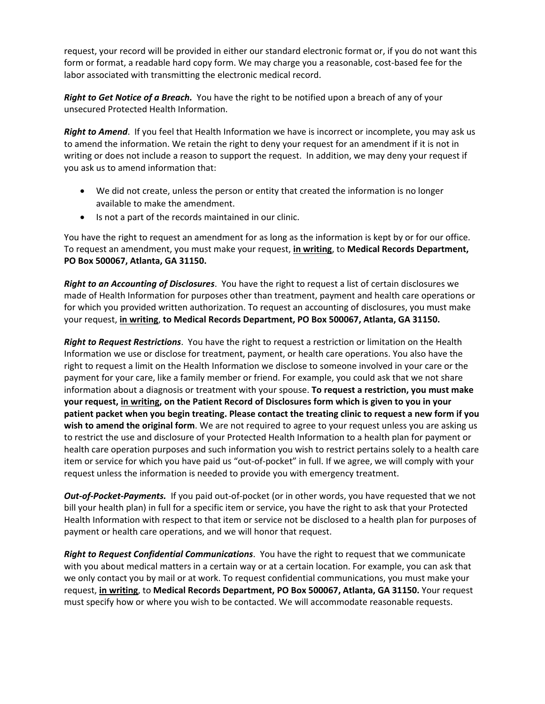request, your record will be provided in either our standard electronic format or, if you do not want this form or format, a readable hard copy form. We may charge you a reasonable, cost-based fee for the labor associated with transmitting the electronic medical record.

*Right to Get Notice of a Breach.* You have the right to be notified upon a breach of any of your unsecured Protected Health Information.

*Right to Amend*. If you feel that Health Information we have is incorrect or incomplete, you may ask us to amend the information. We retain the right to deny your request for an amendment if it is not in writing or does not include a reason to support the request. In addition, we may deny your request if you ask us to amend information that:

- We did not create, unless the person or entity that created the information is no longer available to make the amendment.
- Is not a part of the records maintained in our clinic.

You have the right to request an amendment for as long as the information is kept by or for our office. To request an amendment, you must make your request, **in writing**, to **Medical Records Department, PO Box 500067, Atlanta, GA 31150.**

*Right to an Accounting of Disclosures*. You have the right to request a list of certain disclosures we made of Health Information for purposes other than treatment, payment and health care operations or for which you provided written authorization. To request an accounting of disclosures, you must make your request, **in writing**, **to Medical Records Department, PO Box 500067, Atlanta, GA 31150.** 

*Right to Request Restrictions*. You have the right to request a restriction or limitation on the Health Information we use or disclose for treatment, payment, or health care operations. You also have the right to request a limit on the Health Information we disclose to someone involved in your care or the payment for your care, like a family member or friend. For example, you could ask that we not share information about a diagnosis or treatment with your spouse. **To request a restriction, you must make your request, in writing, on the Patient Record of Disclosures form which is given to you in your** patient packet when you begin treating. Please contact the treating clinic to request a new form if you **wish to amend the original form**. We are not required to agree to your request unless you are asking us to restrict the use and disclosure of your Protected Health Information to a health plan for payment or health care operation purposes and such information you wish to restrict pertains solely to a health care item or service for which you have paid us "out‐of‐pocket" in full. If we agree, we will comply with your request unless the information is needed to provide you with emergency treatment.

*Out‐of‐Pocket‐Payments.* If you paid out‐of‐pocket (or in other words, you have requested that we not bill your health plan) in full for a specific item or service, you have the right to ask that your Protected Health Information with respect to that item or service not be disclosed to a health plan for purposes of payment or health care operations, and we will honor that request.

*Right to Request Confidential Communications*. You have the right to request that we communicate with you about medical matters in a certain way or at a certain location. For example, you can ask that we only contact you by mail or at work. To request confidential communications, you must make your request, **in writing**, to **Medical Records Department, PO Box 500067, Atlanta, GA 31150.** Your request must specify how or where you wish to be contacted. We will accommodate reasonable requests.